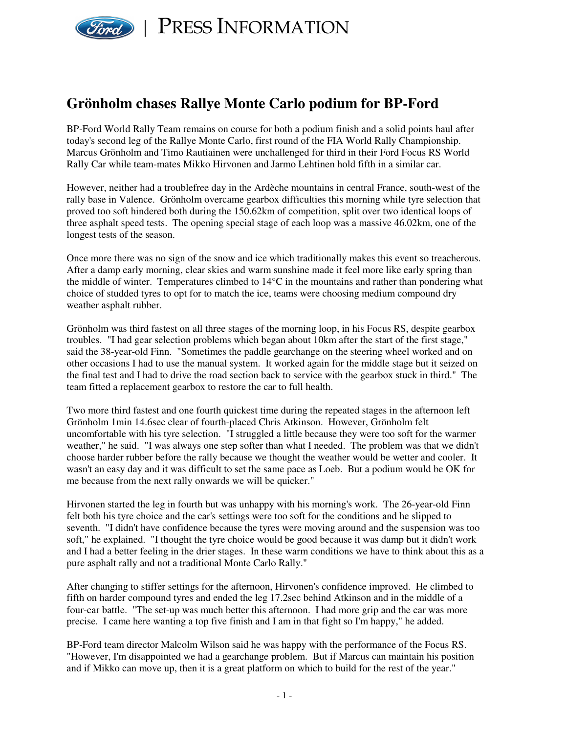

PRESS INFORMATION

# **Grönholm chases Rallye Monte Carlo podium for BP-Ford**

BP-Ford World Rally Team remains on course for both a podium finish and a solid points haul after today's second leg of the Rallye Monte Carlo, first round of the FIA World Rally Championship. Marcus Grönholm and Timo Rautiainen were unchallenged for third in their Ford Focus RS World Rally Car while team-mates Mikko Hirvonen and Jarmo Lehtinen hold fifth in a similar car.

However, neither had a troublefree day in the Ardèche mountains in central France, south-west of the rally base in Valence. Grönholm overcame gearbox difficulties this morning while tyre selection that proved too soft hindered both during the 150.62km of competition, split over two identical loops of three asphalt speed tests. The opening special stage of each loop was a massive 46.02km, one of the longest tests of the season.

Once more there was no sign of the snow and ice which traditionally makes this event so treacherous. After a damp early morning, clear skies and warm sunshine made it feel more like early spring than the middle of winter. Temperatures climbed to 14°C in the mountains and rather than pondering what choice of studded tyres to opt for to match the ice, teams were choosing medium compound dry weather asphalt rubber.

Grönholm was third fastest on all three stages of the morning loop, in his Focus RS, despite gearbox troubles. "I had gear selection problems which began about 10km after the start of the first stage," said the 38-year-old Finn. "Sometimes the paddle gearchange on the steering wheel worked and on other occasions I had to use the manual system. It worked again for the middle stage but it seized on the final test and I had to drive the road section back to service with the gearbox stuck in third." The team fitted a replacement gearbox to restore the car to full health.

Two more third fastest and one fourth quickest time during the repeated stages in the afternoon left Grönholm 1min 14.6sec clear of fourth-placed Chris Atkinson. However, Grönholm felt uncomfortable with his tyre selection. "I struggled a little because they were too soft for the warmer weather," he said. "I was always one step softer than what I needed. The problem was that we didn't choose harder rubber before the rally because we thought the weather would be wetter and cooler. It wasn't an easy day and it was difficult to set the same pace as Loeb. But a podium would be OK for me because from the next rally onwards we will be quicker."

Hirvonen started the leg in fourth but was unhappy with his morning's work. The 26-year-old Finn felt both his tyre choice and the car's settings were too soft for the conditions and he slipped to seventh. "I didn't have confidence because the tyres were moving around and the suspension was too soft," he explained. "I thought the tyre choice would be good because it was damp but it didn't work and I had a better feeling in the drier stages. In these warm conditions we have to think about this as a pure asphalt rally and not a traditional Monte Carlo Rally."

After changing to stiffer settings for the afternoon, Hirvonen's confidence improved. He climbed to fifth on harder compound tyres and ended the leg 17.2sec behind Atkinson and in the middle of a four-car battle. "The set-up was much better this afternoon. I had more grip and the car was more precise. I came here wanting a top five finish and I am in that fight so I'm happy," he added.

BP-Ford team director Malcolm Wilson said he was happy with the performance of the Focus RS. "However, I'm disappointed we had a gearchange problem. But if Marcus can maintain his position and if Mikko can move up, then it is a great platform on which to build for the rest of the year."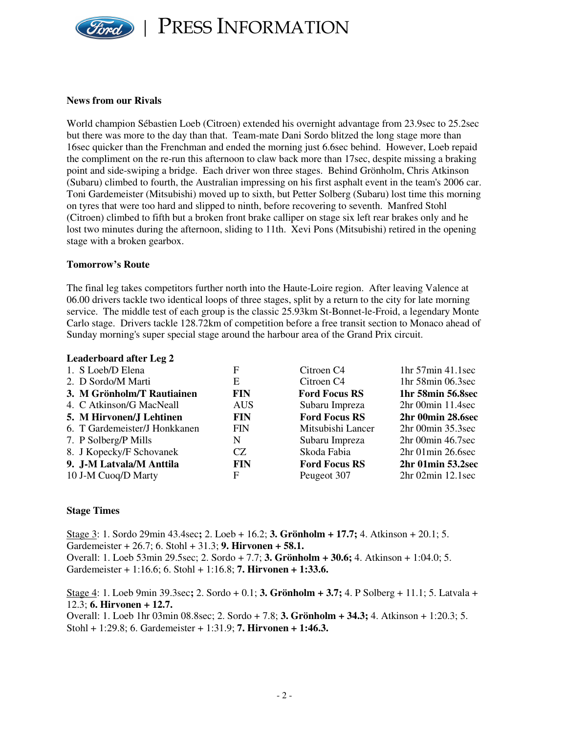

PRESS INFORMATION

### **News from our Rivals**

World champion Sébastien Loeb (Citroen) extended his overnight advantage from 23.9sec to 25.2sec but there was more to the day than that. Team-mate Dani Sordo blitzed the long stage more than 16sec quicker than the Frenchman and ended the morning just 6.6sec behind. However, Loeb repaid the compliment on the re-run this afternoon to claw back more than 17sec, despite missing a braking point and side-swiping a bridge. Each driver won three stages. Behind Grönholm, Chris Atkinson (Subaru) climbed to fourth, the Australian impressing on his first asphalt event in the team's 2006 car. Toni Gardemeister (Mitsubishi) moved up to sixth, but Petter Solberg (Subaru) lost time this morning on tyres that were too hard and slipped to ninth, before recovering to seventh. Manfred Stohl (Citroen) climbed to fifth but a broken front brake calliper on stage six left rear brakes only and he lost two minutes during the afternoon, sliding to 11th. Xevi Pons (Mitsubishi) retired in the opening stage with a broken gearbox.

### **Tomorrow's Route**

The final leg takes competitors further north into the Haute-Loire region. After leaving Valence at 06.00 drivers tackle two identical loops of three stages, split by a return to the city for late morning service. The middle test of each group is the classic 25.93km St-Bonnet-le-Froid, a legendary Monte Carlo stage. Drivers tackle 128.72km of competition before a free transit section to Monaco ahead of Sunday morning's super special stage around the harbour area of the Grand Prix circuit.

### **Leaderboard after Leg 2**

| 1. S Loeb/D Elena             | F          | Citroen C <sub>4</sub> | $1hr 57min 41.1sec$    |
|-------------------------------|------------|------------------------|------------------------|
| 2. D Sordo/M Marti            | E          | Citroen C <sub>4</sub> | 1hr 58min 06.3sec      |
| 3. M Grönholm/T Rautiainen    | <b>FIN</b> | <b>Ford Focus RS</b>   | 1hr 58min 56.8sec      |
| 4. C Atkinson/G MacNeall      | <b>AUS</b> | Subaru Impreza         | $2hr$ 00 $min$ 11.4sec |
| 5. M Hirvonen/J Lehtinen      | <b>FIN</b> | <b>Ford Focus RS</b>   | 2hr 00min 28.6sec      |
| 6. T Gardemeister/J Honkkanen | <b>FIN</b> | Mitsubishi Lancer      | 2hr 00min 35.3sec      |
| 7. P Solberg/P Mills          | N          | Subaru Impreza         | 2hr 00min 46.7sec      |
| 8. J Kopecky/F Schovanek      | CZ.        | Skoda Fabia            | $2hr$ 01 $min$ 26.6sec |
| 9. J-M Latvala/M Anttila      | <b>FIN</b> | <b>Ford Focus RS</b>   | 2hr 01min 53.2sec      |
| 10 J-M Cuoq/D Marty           | F          | Peugeot 307            | $2hr$ 02 $min$ 12.1sec |

## **Stage Times**

Stage 3: 1. Sordo 29min 43.4sec**;** 2. Loeb + 16.2; **3. Grönholm + 17.7;** 4. Atkinson + 20.1; 5. Gardemeister + 26.7; 6. Stohl + 31.3; **9. Hirvonen + 58.1.** Overall: 1. Loeb 53min 29.5sec; 2. Sordo + 7.7; **3. Grönholm + 30.6;** 4. Atkinson + 1:04.0; 5. Gardemeister + 1:16.6; 6. Stohl + 1:16.8; **7. Hirvonen + 1:33.6.**

Stage 4: 1. Loeb 9min 39.3sec**;** 2. Sordo + 0.1; **3. Grönholm + 3.7;** 4. P Solberg + 11.1; 5. Latvala + 12.3; **6. Hirvonen + 12.7.**

Overall: 1. Loeb 1hr 03min 08.8sec; 2. Sordo + 7.8; **3. Grönholm + 34.3;** 4. Atkinson + 1:20.3; 5. Stohl + 1:29.8; 6. Gardemeister + 1:31.9; **7. Hirvonen + 1:46.3.**